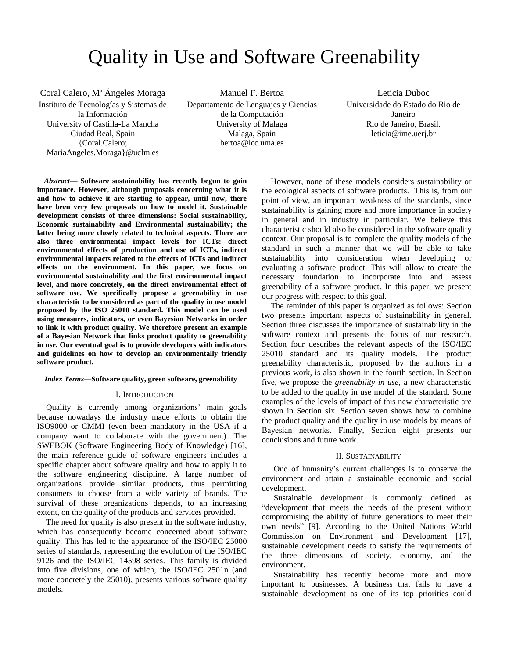# Quality in Use and Software Greenability

Coral Calero, Mª Ángeles Moraga Instituto de Tecnologías y Sistemas de la Información University of Castilla-La Mancha Ciudad Real, Spain {Coral.Calero; MariaAngeles.Moraga}@uclm.es

Manuel F. Bertoa Departamento de Lenguajes y Ciencias de la Computación University of Malaga Malaga, Spain bertoa@lcc.uma.es

Leticia Duboc Universidade do Estado do Rio de Janeiro Rio de Janeiro, Brasil. leticia@ime.uerj.br

*Abstract***— Software sustainability has recently begun to gain importance. However, although proposals concerning what it is and how to achieve it are starting to appear, until now, there have been very few proposals on how to model it. Sustainable development consists of three dimensions: Social sustainability, Economic sustainability and Environmental sustainability; the latter being more closely related to technical aspects. There are also three environmental impact levels for ICTs: direct environmental effects of production and use of ICTs, indirect environmental impacts related to the effects of ICTs and indirect effects on the environment. In this paper, we focus on environmental sustainability and the first environmental impact level, and more concretely, on the direct environmental effect of software use. We specifically propose a greenability in use characteristic to be considered as part of the quality in use model proposed by the ISO 25010 standard. This model can be used using measures, indicators, or even Bayesian Networks in order to link it with product quality. We therefore present an example of a Bayesian Network that links product quality to greenability in use. Our eventual goal is to provide developers with indicators and guidelines on how to develop an environmentally friendly software product.**

## *Index Terms***—Software quality, green software, greenability**

#### I. INTRODUCTION

Quality is currently among organizations' main goals because nowadays the industry made efforts to obtain the ISO9000 or CMMI (even been mandatory in the USA if a company want to collaborate with the government). The SWEBOK (Software Engineering Body of Knowledge) [\[16\]](#page-8-0), the main reference guide of software engineers includes a specific chapter about software quality and how to apply it to the software engineering discipline. A large number of organizations provide similar products, thus permitting consumers to choose from a wide variety of brands. The survival of these organizations depends, to an increasing extent, on the quality of the products and services provided.

The need for quality is also present in the software industry, which has consequently become concerned about software quality. This has led to the appearance of the ISO/IEC 25000 series of standards, representing the evolution of the ISO/IEC 9126 and the ISO/IEC 14598 series. This family is divided into five divisions, one of which, the ISO/IEC 2501n (and more concretely the 25010), presents various software quality models.

However, none of these models considers sustainability or the ecological aspects of software products. This is, from our point of view, an important weakness of the standards, since sustainability is gaining more and more importance in society in general and in industry in particular. We believe this characteristic should also be considered in the software quality context. Our proposal is to complete the quality models of the standard in such a manner that we will be able to take sustainability into consideration when developing or evaluating a software product. This will allow to create the necessary foundation to incorporate into and assess greenability of a software product. In this paper, we present our progress with respect to this goal.

The reminder of this paper is organized as follows: Section two presents important aspects of sustainability in general. Section three discusses the importance of sustainability in the software context and presents the focus of our research. Section four describes the relevant aspects of the ISO/IEC 25010 standard and its quality models. The product greenability characteristic, proposed by the authors in a previous work, is also shown in the fourth section. In Section five, we propose the *greenability in use*, a new characteristic to be added to the quality in use model of the standard. Some examples of the levels of impact of this new characteristic are shown in Section six. Section seven shows how to combine the product quality and the quality in use models by means of Bayesian networks. Finally, Section eight presents our conclusions and future work.

#### II. SUSTAINABILITY

One of humanity's current challenges is to conserve the environment and attain a sustainable economic and social development.

Sustainable development is commonly defined as "development that meets the needs of the present without compromising the ability of future generations to meet their own needs" [\[9\]](#page-8-1). According to the United Nations World Commission on Environment and Development [\[17\]](#page-8-2), sustainable development needs to satisfy the requirements of the three dimensions of society, economy, and the environment.

Sustainability has recently become more and more important to businesses. A business that fails to have a sustainable development as one of its top priorities could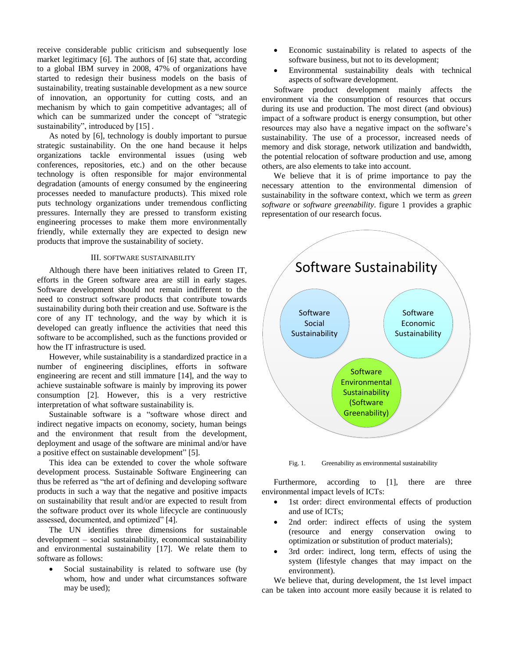receive considerable public criticism and subsequently lose market legitimacy [\[6\]](#page-8-3). The authors of [\[6\]](#page-8-3) state that, according to a global IBM survey in 2008, 47% of organizations have started to redesign their business models on the basis of sustainability, treating sustainable development as a new source of innovation, an opportunity for cutting costs, and an mechanism by which to gain competitive advantages; all of which can be summarized under the concept of "strategic sustainability", introduced by [\[15\]](#page-8-4).

As noted by [\[6\]](#page-8-3), technology is doubly important to pursue strategic sustainability. On the one hand because it helps organizations tackle environmental issues (using web conferences, repositories, etc.) and on the other because technology is often responsible for major environmental degradation (amounts of energy consumed by the engineering processes needed to manufacture products). This mixed role puts technology organizations under tremendous conflicting pressures. Internally they are pressed to transform existing engineering processes to make them more environmentally friendly, while externally they are expected to design new products that improve the sustainability of society.

## III. SOFTWARE SUSTAINABILITY

Although there have been initiatives related to Green IT, efforts in the Green software area are still in early stages. Software development should not remain indifferent to the need to construct software products that contribute towards sustainability during both their creation and use. Software is the core of any IT technology, and the way by which it is developed can greatly influence the activities that need this software to be accomplished, such as the functions provided or how the IT infrastructure is used.

However, while sustainability is a standardized practice in a number of engineering disciplines, efforts in software engineering are recent and still immature [\[14\]](#page-8-5), and the way to achieve sustainable software is mainly by improving its power consumption [\[2\]](#page-8-6). However, this is a very restrictive interpretation of what software sustainability is.

Sustainable software is a "software whose direct and indirect negative impacts on economy, society, human beings and the environment that result from the development, deployment and usage of the software are minimal and/or have a positive effect on sustainable development" [\[5\]](#page-8-7).

This idea can be extended to cover the whole software development process. Sustainable Software Engineering can thus be referred as "the art of defining and developing software products in such a way that the negative and positive impacts on sustainability that result and/or are expected to result from the software product over its whole lifecycle are continuously assessed, documented, and optimized" [\[4\]](#page-8-8).

The UN identifies three dimensions for sustainable development – social sustainability, economical sustainability and environmental sustainability [\[17\]](#page-8-2). We relate them to software as follows:

 Social sustainability is related to software use (by whom, how and under what circumstances software may be used);

- Economic sustainability is related to aspects of the software business, but not to its development;
- Environmental sustainability deals with technical aspects of software development.

Software product development mainly affects the environment via the consumption of resources that occurs during its use and production. The most direct (and obvious) impact of a software product is energy consumption, but other resources may also have a negative impact on the software's sustainability. The use of a processor, increased needs of memory and disk storage, network utilization and bandwidth, the potential relocation of software production and use, among others, are also elements to take into account.

We believe that it is of prime importance to pay the necessary attention to the environmental dimension of sustainability in the software context, which we term as *green software* or *software greenability*. figure 1 provides a graphic representation of our research focus.



Fig. 1. Greenability as environmental sustainability

Furthermore, according to [\[1\]](#page-8-9), there are three environmental impact levels of ICTs:

- 1st order: direct environmental effects of production and use of ICTs;
- 2nd order: indirect effects of using the system (resource and energy conservation owing to optimization or substitution of product materials);
- 3rd order: indirect, long term, effects of using the system (lifestyle changes that may impact on the environment).

We believe that, during development, the 1st level impact can be taken into account more easily because it is related to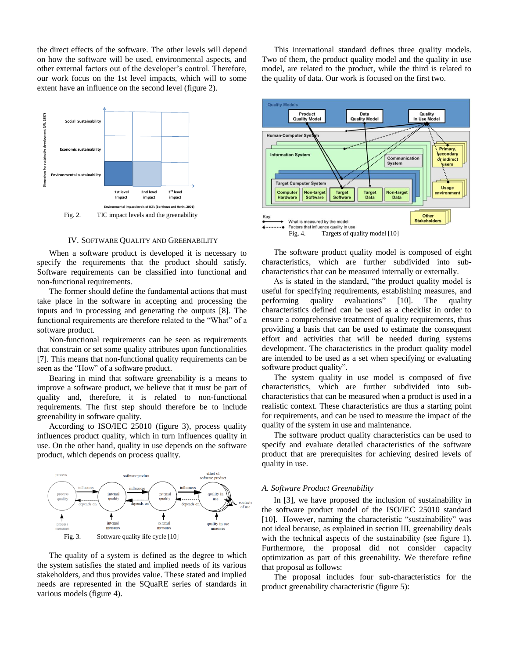the direct effects of the software. The other levels will depend on how the software will be used, environmental aspects, and other external factors out of the developer's control. Therefore, our work focus on the 1st level impacts, which will to some extent have an influence on the second level (figure 2).



### IV. SOFTWARE QUALITY AND GREENABILITY

When a software product is developed it is necessary to specify the requirements that the product should satisfy. Software requirements can be classified into functional and non-functional requirements.

The former should define the fundamental actions that must take place in the software in accepting and processing the inputs and in processing and generating the outputs [\[8\]](#page-8-10). The functional requirements are therefore related to the "What" of a software product.

Non-functional requirements can be seen as requirements that constrain or set some quality attributes upon functionalities [\[7\]](#page-8-11). This means that non-functional quality requirements can be seen as the "How" of a software product.

Bearing in mind that software greenability is a means to improve a software product, we believe that it must be part of quality and, therefore, it is related to non-functional requirements. The first step should therefore be to include greenability in software quality.

According to ISO/IEC 25010 (figure 3), process quality influences product quality, which in turn influences quality in use. On the other hand, quality in use depends on the software product, which depends on process quality.



The quality of a system is defined as the degree to which the system satisfies the stated and implied needs of its various stakeholders, and thus provides value. These stated and implied needs are represented in the SQuaRE series of standards in various models (figure 4).

This international standard defines three quality models. Two of them, the product quality model and the quality in use model, are related to the product, while the third is related to the quality of data. Our work is focused on the first two.



The software product quality model is composed of eight characteristics, which are further subdivided into subcharacteristics that can be measured internally or externally.

As is stated in the standard, "the product quality model is useful for specifying requirements, establishing measures, and performing quality evaluations" [\[10\]](#page-8-12). The quality characteristics defined can be used as a checklist in order to ensure a comprehensive treatment of quality requirements, thus providing a basis that can be used to estimate the consequent effort and activities that will be needed during systems development. The characteristics in the product quality model are intended to be used as a set when specifying or evaluating software product quality".

The system quality in use model is composed of five characteristics, which are further subdivided into subcharacteristics that can be measured when a product is used in a realistic context. These characteristics are thus a starting point for requirements, and can be used to measure the impact of the quality of the system in use and maintenance.

The software product quality characteristics can be used to specify and evaluate detailed characteristics of the software product that are prerequisites for achieving desired levels of quality in use.

### *A. Software Product Greenability*

In [\[3\]](#page-8-13), we have proposed the inclusion of sustainability in the software product model of the ISO/IEC 25010 standard [\[10\]](#page-8-12). However, naming the characteristic "sustainability" was not ideal because, as explained in section III, greenability deals with the technical aspects of the sustainability (see figure 1). Furthermore, the proposal did not consider capacity optimization as part of this greenability. We therefore refine that proposal as follows:

The proposal includes four sub-characteristics for the product greenability characteristic (figure 5):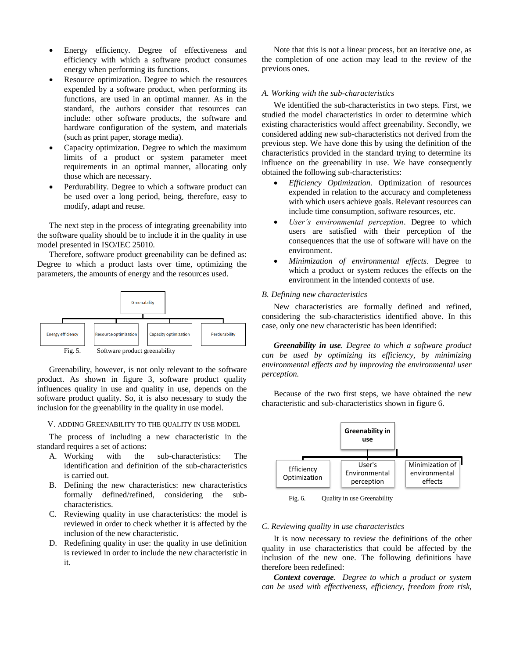- Energy efficiency. Degree of effectiveness and efficiency with which a software product consumes energy when performing its functions.
- Resource optimization. Degree to which the resources expended by a software product, when performing its functions, are used in an optimal manner. As in the standard, the authors consider that resources can include: other software products, the software and hardware configuration of the system, and materials (such as print paper, storage media).
- Capacity optimization. Degree to which the maximum limits of a product or system parameter meet requirements in an optimal manner, allocating only those which are necessary.
- Perdurability. Degree to which a software product can be used over a long period, being, therefore, easy to modify, adapt and reuse.

The next step in the process of integrating greenability into the software quality should be to include it in the quality in use model presented in ISO/IEC 25010.

Therefore, software product greenability can be defined as: Degree to which a product lasts over time, optimizing the parameters, the amounts of energy and the resources used.



Greenability, however, is not only relevant to the software product. As shown in figure 3, software product quality influences quality in use and quality in use, depends on the software product quality. So, it is also necessary to study the inclusion for the greenability in the quality in use model.

V. ADDING GREENABILITY TO THE QUALITY IN USE MODEL

The process of including a new characteristic in the standard requires a set of actions:

- A. Working with the sub-characteristics: The identification and definition of the sub-characteristics is carried out.
- B. Defining the new characteristics: new characteristics formally defined/refined, considering the subcharacteristics.
- C. Reviewing quality in use characteristics: the model is reviewed in order to check whether it is affected by the inclusion of the new characteristic.
- D. Redefining quality in use: the quality in use definition is reviewed in order to include the new characteristic in it.

Note that this is not a linear process, but an iterative one, as the completion of one action may lead to the review of the previous ones.

#### *A. Working with the sub-characteristics*

We identified the sub-characteristics in two steps. First, we studied the model characteristics in order to determine which existing characteristics would affect greenability. Secondly, we considered adding new sub-characteristics not derived from the previous step. We have done this by using the definition of the characteristics provided in the standard trying to determine its influence on the greenability in use. We have consequently obtained the following sub-characteristics:

- *Efficiency Optimization*. Optimization of resources expended in relation to the accuracy and completeness with which users achieve goals. Relevant resources can include time consumption, software resources, etc.
- *User's environmental perception*. Degree to which users are satisfied with their perception of the consequences that the use of software will have on the environment.
- *Minimization of environmental effects*. Degree to which a product or system reduces the effects on the environment in the intended contexts of use.

## *B. Defining new characteristics*

New characteristics are formally defined and refined, considering the sub-characteristics identified above. In this case, only one new characteristic has been identified:

*Greenability in use. Degree to which a software product can be used by optimizing its efficiency, by minimizing environmental effects and by improving the environmental user perception.*

Because of the two first steps, we have obtained the new characteristic and sub-characteristics shown in figure 6.



Fig. 6. Quality in use Greenability

# *C. Reviewing quality in use characteristics*

It is now necessary to review the definitions of the other quality in use characteristics that could be affected by the inclusion of the new one. The following definitions have therefore been redefined:

*Context coverage. Degree to which a product or system can be used with effectiveness, efficiency, freedom from risk,*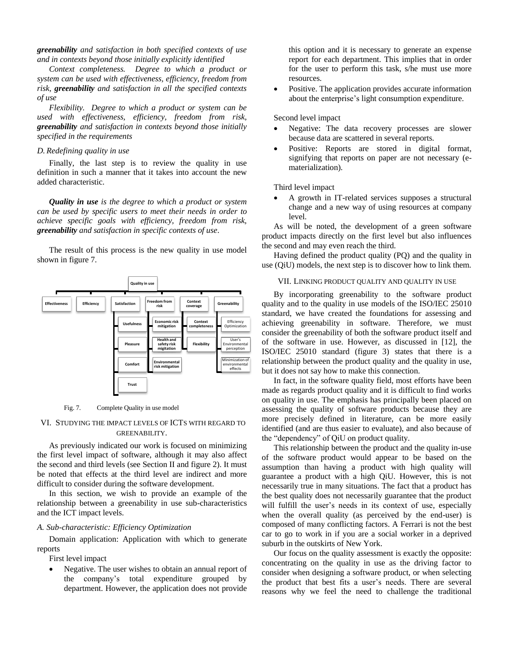*greenability and satisfaction in both specified contexts of use and in contexts beyond those initially explicitly identified*

*Context completeness. Degree to which a product or system can be used with effectiveness, efficiency, freedom from risk, greenability and satisfaction in all the specified contexts of use*

*Flexibility. Degree to which a product or system can be used with effectiveness, efficiency, freedom from risk, greenability and satisfaction in contexts beyond those initially specified in the requirements*

## *D. Redefining quality in use*

Finally, the last step is to review the quality in use definition in such a manner that it takes into account the new added characteristic.

*Quality in use is the degree to which a product or system can be used by specific users to meet their needs in order to achieve specific goals with efficiency, freedom from risk, greenability and satisfaction in specific contexts of use*.

The result of this process is the new quality in use model shown in figure 7.



#### Fig. 7. Complete Quality in use model

# VI. STUDYING THE IMPACT LEVELS OF ICTS WITH REGARD TO GREENABILITY.

As previously indicated our work is focused on minimizing the first level impact of software, although it may also affect the second and third levels (see Section II and figure 2). It must be noted that effects at the third level are indirect and more difficult to consider during the software development.

In this section, we wish to provide an example of the relationship between a greenability in use sub-characteristics and the ICT impact levels.

# *A. Sub-characteristic: Efficiency Optimization*

Domain application: Application with which to generate reports

First level impact

• Negative. The user wishes to obtain an annual report of the company's total expenditure grouped by department. However, the application does not provide

this option and it is necessary to generate an expense report for each department. This implies that in order for the user to perform this task, s/he must use more resources.

 Positive. The application provides accurate information about the enterprise's light consumption expenditure.

Second level impact

- Negative: The data recovery processes are slower because data are scattered in several reports.
- Positive: Reports are stored in digital format, signifying that reports on paper are not necessary (ematerialization).

Third level impact

 A growth in IT-related services supposes a structural change and a new way of using resources at company level.

As will be noted, the development of a green software product impacts directly on the first level but also influences the second and may even reach the third.

Having defined the product quality (PQ) and the quality in use (QiU) models, the next step is to discover how to link them.

## VII. LINKING PRODUCT QUALITY AND QUALITY IN USE

By incorporating greenability to the software product quality and to the quality in use models of the ISO/IEC 25010 standard, we have created the foundations for assessing and achieving greenability in software. Therefore, we must consider the greenability of both the software product itself and of the software in use. However, as discussed in [\[12\]](#page-8-14), the ISO/IEC 25010 standard (figure 3) states that there is a relationship between the product quality and the quality in use, but it does not say how to make this connection.

In fact, in the software quality field, most efforts have been made as regards product quality and it is difficult to find works on quality in use. The emphasis has principally been placed on assessing the quality of software products because they are more precisely defined in literature, can be more easily identified (and are thus easier to evaluate), and also because of the "dependency" of QiU on product quality.

This relationship between the product and the quality in-use of the software product would appear to be based on the assumption than having a product with high quality will guarantee a product with a high QiU. However, this is not necessarily true in many situations. The fact that a product has the best quality does not necessarily guarantee that the product will fulfill the user's needs in its context of use, especially when the overall quality (as perceived by the end-user) is composed of many conflicting factors. A Ferrari is not the best car to go to work in if you are a social worker in a deprived suburb in the outskirts of New York.

Our focus on the quality assessment is exactly the opposite: concentrating on the quality in use as the driving factor to consider when designing a software product, or when selecting the product that best fits a user's needs. There are several reasons why we feel the need to challenge the traditional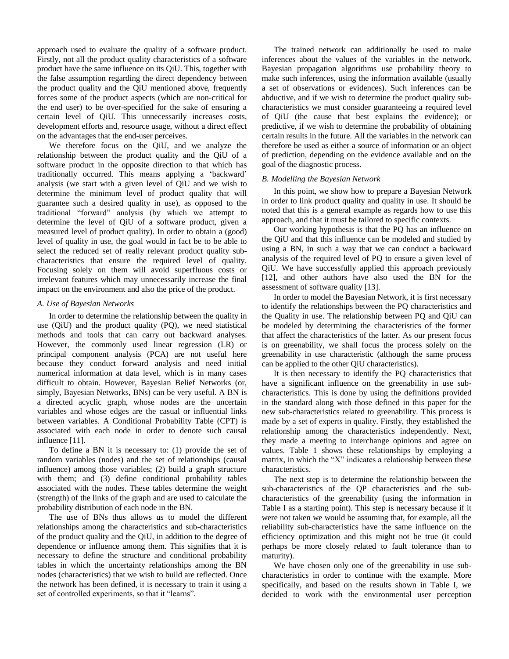approach used to evaluate the quality of a software product. Firstly, not all the product quality characteristics of a software product have the same influence on its QiU. This, together with the false assumption regarding the direct dependency between the product quality and the QiU mentioned above, frequently forces some of the product aspects (which are non-critical for the end user) to be over-specified for the sake of ensuring a certain level of QiU. This unnecessarily increases costs, development efforts and, resource usage, without a direct effect on the advantages that the end-user perceives.

We therefore focus on the QiU, and we analyze the relationship between the product quality and the QiU of a software product in the opposite direction to that which has traditionally occurred. This means applying a 'backward' analysis (we start with a given level of QiU and we wish to determine the minimum level of product quality that will guarantee such a desired quality in use), as opposed to the traditional "forward" analysis (by which we attempt to determine the level of QiU of a software product, given a measured level of product quality). In order to obtain a (good) level of quality in use, the goal would in fact be to be able to select the reduced set of really relevant product quality subcharacteristics that ensure the required level of quality. Focusing solely on them will avoid superfluous costs or irrelevant features which may unnecessarily increase the final impact on the environment and also the price of the product.

## *A. Use of Bayesian Networks*

In order to determine the relationship between the quality in use (QiU) and the product quality (PQ), we need statistical methods and tools that can carry out backward analyses. However, the commonly used linear regression (LR) or principal component analysis (PCA) are not useful here because they conduct forward analysis and need initial numerical information at data level, which is in many cases difficult to obtain. However, Bayesian Belief Networks (or, simply, Bayesian Networks, BNs) can be very useful. A BN is a directed acyclic graph, whose nodes are the uncertain variables and whose edges are the casual or influential links between variables. A Conditional Probability Table (CPT) is associated with each node in order to denote such causal influence [\[11\]](#page-8-15).

To define a BN it is necessary to: (1) provide the set of random variables (nodes) and the set of relationships (causal influence) among those variables; (2) build a graph structure with them; and (3) define conditional probability tables associated with the nodes. These tables determine the weight (strength) of the links of the graph and are used to calculate the probability distribution of each node in the BN.

The use of BNs thus allows us to model the different relationships among the characteristics and sub-characteristics of the product quality and the QiU, in addition to the degree of dependence or influence among them. This signifies that it is necessary to define the structure and conditional probability tables in which the uncertainty relationships among the BN nodes (characteristics) that we wish to build are reflected. Once the network has been defined, it is necessary to train it using a set of controlled experiments, so that it "learns".

The trained network can additionally be used to make inferences about the values of the variables in the network. Bayesian propagation algorithms use probability theory to make such inferences, using the information available (usually a set of observations or evidences). Such inferences can be abductive, and if we wish to determine the product quality subcharacteristics we must consider guaranteeing a required level of QiU (the cause that best explains the evidence); or predictive, if we wish to determine the probability of obtaining certain results in the future. All the variables in the network can therefore be used as either a source of information or an object of prediction, depending on the evidence available and on the goal of the diagnostic process.

## *B. Modelling the Bayesian Network*

In this point, we show how to prepare a Bayesian Network in order to link product quality and quality in use. It should be noted that this is a general example as regards how to use this approach, and that it must be tailored to specific contexts.

Our working hypothesis is that the PQ has an influence on the QiU and that this influence can be modeled and studied by using a BN, in such a way that we can conduct a backward analysis of the required level of PQ to ensure a given level of QiU. We have successfully applied this approach previously [\[12\]](#page-8-14), and other authors have also used the BN for the assessment of software quality [\[13\]](#page-8-16).

In order to model the Bayesian Network, it is first necessary to identify the relationships between the PQ characteristics and the Quality in use. The relationship between PQ and QiU can be modeled by determining the characteristics of the former that affect the characteristics of the latter. As our present focus is on greenability, we shall focus the process solely on the greenability in use characteristic (although the same process can be applied to the other QiU characteristics).

It is then necessary to identify the PQ characteristics that have a significant influence on the greenability in use subcharacteristics. This is done by using the definitions provided in the standard along with those defined in this paper for the new sub-characteristics related to greenability. This process is made by a set of experts in quality. Firstly, they established the relationship among the characteristics independently. Next, they made a meeting to interchange opinions and agree on values. Table 1 shows these relationships by employing a matrix, in which the "X" indicates a relationship between these characteristics.

The next step is to determine the relationship between the sub-characteristics of the QP characteristics and the subcharacteristics of the greenability (using the information in Table I as a starting point). This step is necessary because if it were not taken we would be assuming that, for example, all the reliability sub-characteristics have the same influence on the efficiency optimization and this might not be true (it could perhaps be more closely related to fault tolerance than to maturity).

We have chosen only one of the greenability in use subcharacteristics in order to continue with the example. More specifically, and based on the results shown in Table I, we decided to work with the environmental user perception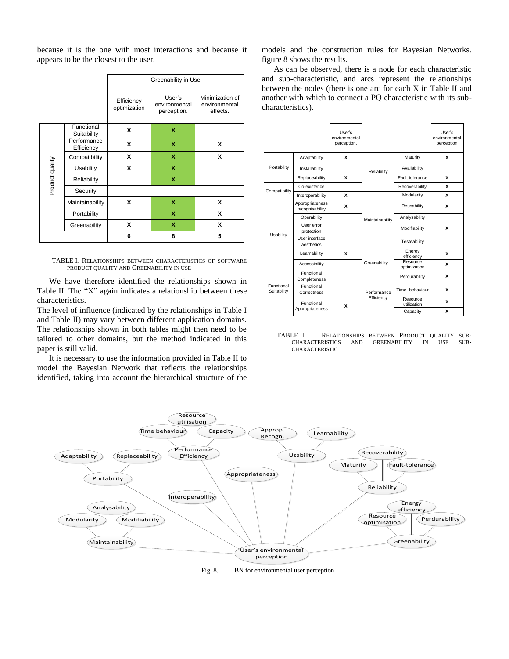because it is the one with most interactions and because it appears to be the closest to the user.

|                 |                           | Greenability in Use        |                                        |                                              |  |
|-----------------|---------------------------|----------------------------|----------------------------------------|----------------------------------------------|--|
|                 |                           | Efficiency<br>optimization | User's<br>environmental<br>perception. | Minimization of<br>environmental<br>effects. |  |
| Product quality | Functional<br>Suitability | X                          | X                                      |                                              |  |
|                 | Performance<br>Efficiency | X                          | x                                      | x                                            |  |
|                 | Compatibility             | x                          | x                                      | X                                            |  |
|                 | <b>Usability</b>          | X                          | X                                      |                                              |  |
|                 | Reliability               |                            | X                                      |                                              |  |
|                 | Security                  |                            |                                        |                                              |  |
|                 | Maintainability           | x                          | X                                      | X                                            |  |
|                 | Portability               |                            | x                                      | X                                            |  |
|                 | Greenability              | x                          | X                                      | X                                            |  |
|                 |                           | 6                          | 8                                      | 5                                            |  |

TABLE I. RELATIONSHIPS BETWEEN CHARACTERISTICS OF SOFTWARE PRODUCT QUALITY AND GREENABILITY IN USE

We have therefore identified the relationships shown in Table II. The "X" again indicates a relationship between these characteristics.

The level of influence (indicated by the relationships in Table I and Table II) may vary between different application domains. The relationships shown in both tables might then need to be tailored to other domains, but the method indicated in this paper is still valid.

It is necessary to use the information provided in Table II to model the Bayesian Network that reflects the relationships identified, taking into account the hierarchical structure of the models and the construction rules for Bayesian Networks. figure 8 shows the results.

As can be observed, there is a node for each characteristic and sub-characteristic, and arcs represent the relationships between the nodes (there is one arc for each X in Table II and another with which to connect a PQ characteristic with its subcharacteristics).

|                           |                                    | User's<br>environmental<br>perception. |                 |                          | User's<br>environmental<br>perception |
|---------------------------|------------------------------------|----------------------------------------|-----------------|--------------------------|---------------------------------------|
| Portability               | Adaptability                       | x                                      |                 | Maturity                 | x                                     |
|                           | Installability                     |                                        | Reliability     | Availability             |                                       |
|                           | Replaceability                     | x                                      |                 | Fault tolerance          | x                                     |
| Compatibility             | Co-existence                       |                                        |                 | Recoverability           | x                                     |
|                           | Interoperability                   | x                                      |                 | Modularity               | x                                     |
| Usability                 | Appropriateness<br>recognisability | x                                      |                 | Reusability              | x                                     |
|                           | Operability                        |                                        | Maintainability | Analysability            |                                       |
|                           | User error<br>protection           |                                        |                 | Modifiability            | x                                     |
|                           | User interface<br>aesthetics       |                                        |                 | Testeability             |                                       |
|                           | Learnability                       | x                                      |                 | Energy<br>efficiency     | x                                     |
|                           | Accessibility                      |                                        | Greenability    | Resource<br>optimization | x                                     |
| Functional<br>Suitability | Functional<br>Completeness         |                                        |                 | Perdurability            | x                                     |
|                           | Functional<br>Correctness          |                                        | Performance     | Time- behaviour          | x                                     |
|                           | Functional<br>Appropriateness      | x                                      | Efficiency      | Resource<br>utilization  | x                                     |
|                           |                                    |                                        |                 | Capacity                 | x                                     |

TABLE II. RELATIONSHIPS BETWEEN PRODUCT QUALITY SUB-<br> CHARACTERISTICS AND GREENABILITY IN USE SUB-CHARACTERISTICS AND GREENABILITY IN USE SUB-CHARACTERISTIC



Fig. 8. BN for environmental user perception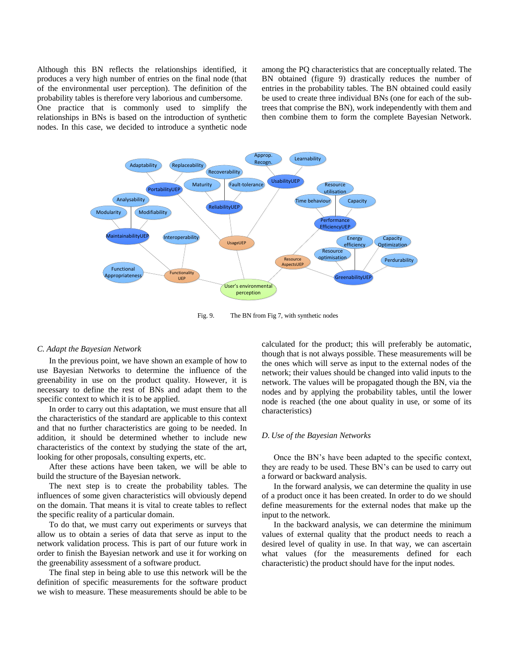Although this BN reflects the relationships identified, it produces a very high number of entries on the final node (that of the environmental user perception). The definition of the probability tables is therefore very laborious and cumbersome.

One practice that is commonly used to simplify the relationships in BNs is based on the introduction of synthetic nodes. In this case, we decided to introduce a synthetic node among the PQ characteristics that are conceptually related. The BN obtained (figure 9) drastically reduces the number of entries in the probability tables. The BN obtained could easily be used to create three individual BNs (one for each of the subtrees that comprise the BN), work independently with them and then combine them to form the complete Bayesian Network.



Fig. 9. The BN from Fig 7, with synthetic nodes

### *C. Adapt the Bayesian Network*

In the previous point, we have shown an example of how to use Bayesian Networks to determine the influence of the greenability in use on the product quality. However, it is necessary to define the rest of BNs and adapt them to the specific context to which it is to be applied.

In order to carry out this adaptation, we must ensure that all the characteristics of the standard are applicable to this context and that no further characteristics are going to be needed. In addition, it should be determined whether to include new characteristics of the context by studying the state of the art, looking for other proposals, consulting experts, etc.

After these actions have been taken, we will be able to build the structure of the Bayesian network.

The next step is to create the probability tables. The influences of some given characteristics will obviously depend on the domain. That means it is vital to create tables to reflect the specific reality of a particular domain.

To do that, we must carry out experiments or surveys that allow us to obtain a series of data that serve as input to the network validation process. This is part of our future work in order to finish the Bayesian network and use it for working on the greenability assessment of a software product.

The final step in being able to use this network will be the definition of specific measurements for the software product we wish to measure. These measurements should be able to be calculated for the product; this will preferably be automatic, though that is not always possible. These measurements will be the ones which will serve as input to the external nodes of the network; their values should be changed into valid inputs to the network. The values will be propagated though the BN, via the nodes and by applying the probability tables, until the lower node is reached (the one about quality in use, or some of its characteristics)

## *D. Use of the Bayesian Networks*

Once the BN's have been adapted to the specific context, they are ready to be used. These BN's can be used to carry out a forward or backward analysis.

In the forward analysis, we can determine the quality in use of a product once it has been created. In order to do we should define measurements for the external nodes that make up the input to the network.

In the backward analysis, we can determine the minimum values of external quality that the product needs to reach a desired level of quality in use. In that way, we can ascertain what values (for the measurements defined for each characteristic) the product should have for the input nodes.